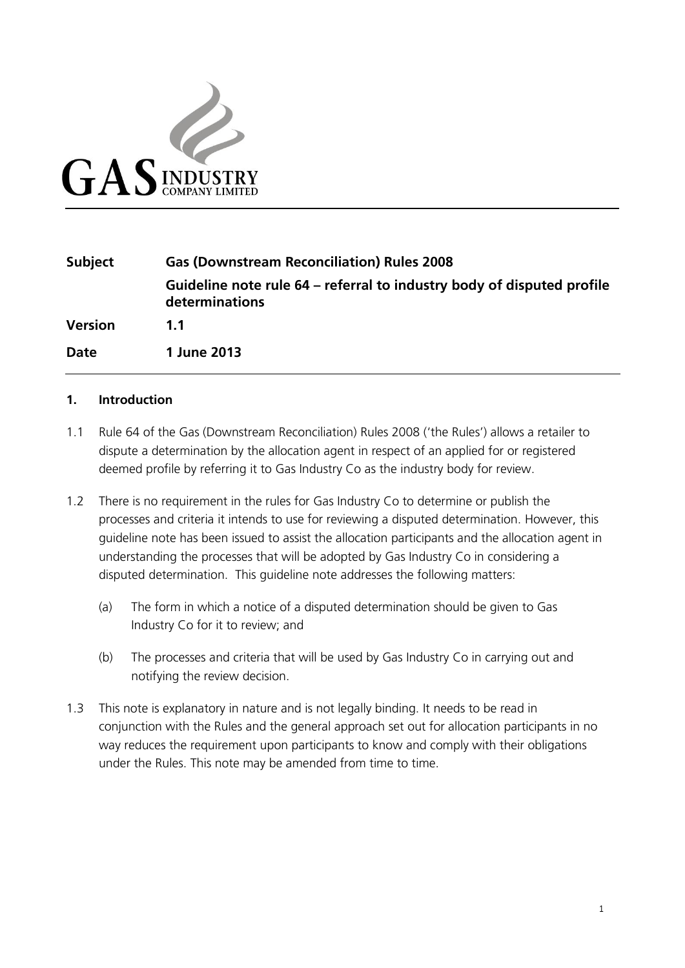

| Subject        | <b>Gas (Downstream Reconciliation) Rules 2008</b>                                        |
|----------------|------------------------------------------------------------------------------------------|
|                | Guideline note rule 64 – referral to industry body of disputed profile<br>determinations |
| <b>Version</b> | $11$                                                                                     |
| <b>Date</b>    | 1 June 2013                                                                              |

## **1. Introduction**

- 1.1 Rule 64 of the Gas (Downstream Reconciliation) Rules 2008 ('the Rules') allows a retailer to dispute a determination by the allocation agent in respect of an applied for or registered deemed profile by referring it to Gas Industry Co as the industry body for review.
- 1.2 There is no requirement in the rules for Gas Industry Co to determine or publish the processes and criteria it intends to use for reviewing a disputed determination. However, this guideline note has been issued to assist the allocation participants and the allocation agent in understanding the processes that will be adopted by Gas Industry Co in considering a disputed determination. This guideline note addresses the following matters:
	- (a) The form in which a notice of a disputed determination should be given to Gas Industry Co for it to review; and
	- (b) The processes and criteria that will be used by Gas Industry Co in carrying out and notifying the review decision.
- 1.3 This note is explanatory in nature and is not legally binding. It needs to be read in conjunction with the Rules and the general approach set out for allocation participants in no way reduces the requirement upon participants to know and comply with their obligations under the Rules. This note may be amended from time to time.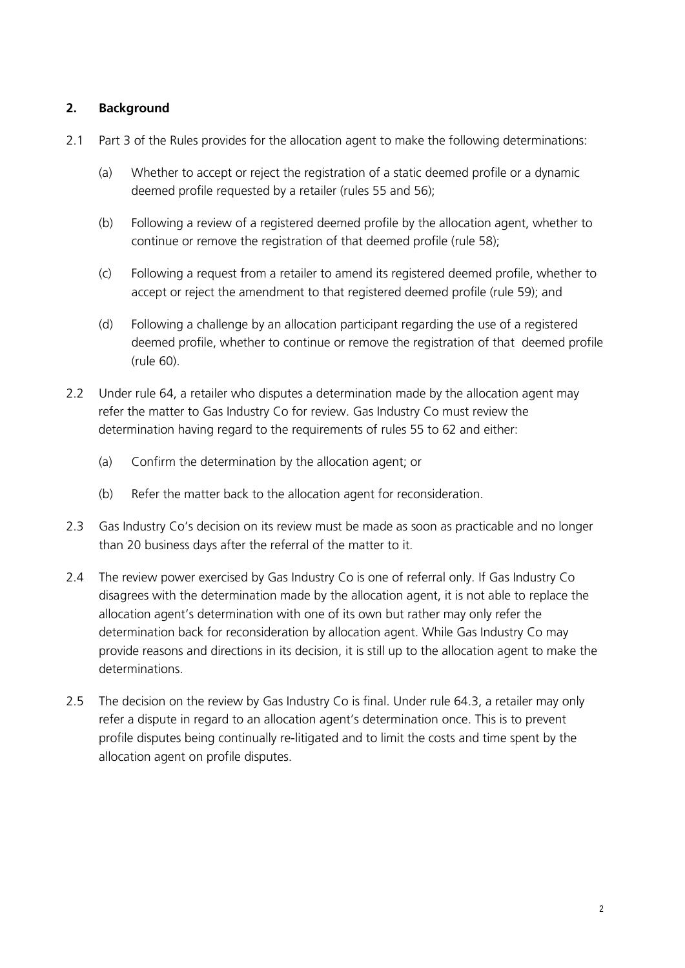## **2. Background**

- 2.1 Part 3 of the Rules provides for the allocation agent to make the following determinations:
	- (a) Whether to accept or reject the registration of a static deemed profile or a dynamic deemed profile requested by a retailer (rules 55 and 56);
	- (b) Following a review of a registered deemed profile by the allocation agent, whether to continue or remove the registration of that deemed profile (rule 58);
	- (c) Following a request from a retailer to amend its registered deemed profile, whether to accept or reject the amendment to that registered deemed profile (rule 59); and
	- (d) Following a challenge by an allocation participant regarding the use of a registered deemed profile, whether to continue or remove the registration of that deemed profile (rule 60).
- 2.2 Under rule 64, a retailer who disputes a determination made by the allocation agent may refer the matter to Gas Industry Co for review. Gas Industry Co must review the determination having regard to the requirements of rules 55 to 62 and either:
	- (a) Confirm the determination by the allocation agent; or
	- (b) Refer the matter back to the allocation agent for reconsideration.
- 2.3 Gas Industry Co's decision on its review must be made as soon as practicable and no longer than 20 business days after the referral of the matter to it.
- 2.4 The review power exercised by Gas Industry Co is one of referral only. If Gas Industry Co disagrees with the determination made by the allocation agent, it is not able to replace the allocation agent's determination with one of its own but rather may only refer the determination back for reconsideration by allocation agent. While Gas Industry Co may provide reasons and directions in its decision, it is still up to the allocation agent to make the determinations.
- 2.5 The decision on the review by Gas Industry Co is final. Under rule 64.3, a retailer may only refer a dispute in regard to an allocation agent's determination once. This is to prevent profile disputes being continually re-litigated and to limit the costs and time spent by the allocation agent on profile disputes.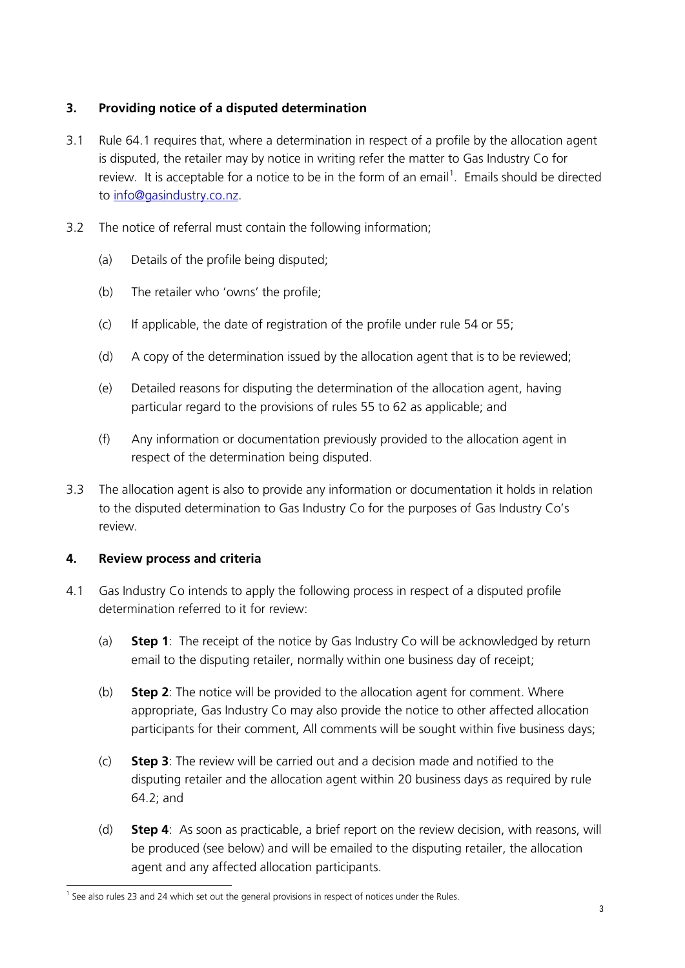## **3. Providing notice of a disputed determination**

- 3.1 Rule 64.1 requires that, where a determination in respect of a profile by the allocation agent is disputed, the retailer may by notice in writing refer the matter to Gas Industry Co for review. It is acceptable for a notice to be in the form of an email<sup>[1](#page-2-0)</sup>. Emails should be directed to [info@gasindustry.co.nz.](mailto:info@gasindustry.co.nz)
- 3.2 The notice of referral must contain the following information;
	- (a) Details of the profile being disputed;
	- (b) The retailer who 'owns' the profile;
	- (c) If applicable, the date of registration of the profile under rule 54 or 55;
	- (d) A copy of the determination issued by the allocation agent that is to be reviewed;
	- (e) Detailed reasons for disputing the determination of the allocation agent, having particular regard to the provisions of rules 55 to 62 as applicable; and
	- (f) Any information or documentation previously provided to the allocation agent in respect of the determination being disputed.
- 3.3 The allocation agent is also to provide any information or documentation it holds in relation to the disputed determination to Gas Industry Co for the purposes of Gas Industry Co's review.

## **4. Review process and criteria**

- 4.1 Gas Industry Co intends to apply the following process in respect of a disputed profile determination referred to it for review:
	- (a) **Step 1**: The receipt of the notice by Gas Industry Co will be acknowledged by return email to the disputing retailer, normally within one business day of receipt;
	- (b) **Step 2**: The notice will be provided to the allocation agent for comment. Where appropriate, Gas Industry Co may also provide the notice to other affected allocation participants for their comment, All comments will be sought within five business days;
	- (c) **Step 3**: The review will be carried out and a decision made and notified to the disputing retailer and the allocation agent within 20 business days as required by rule 64.2; and
	- (d) **Step 4**: As soon as practicable, a brief report on the review decision, with reasons, will be produced (see below) and will be emailed to the disputing retailer, the allocation agent and any affected allocation participants.

<span id="page-2-0"></span> $<sup>1</sup>$  See also rules 23 and 24 which set out the general provisions in respect of notices under the Rules.</sup>